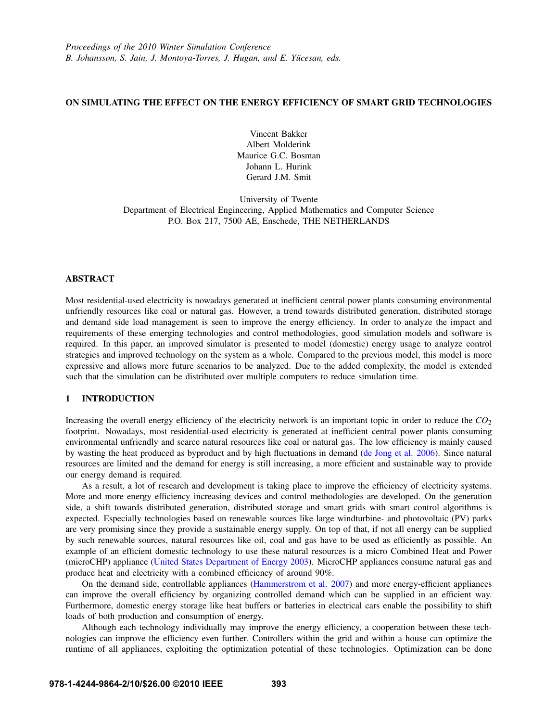## ON SIMULATING THE EFFECT ON THE ENERGY EFFICIENCY OF SMART GRID TECHNOLOGIES

Vincent Bakker Albert Molderink Maurice G.C. Bosman Johann L. Hurink Gerard J.M. Smit

University of Twente Department of Electrical Engineering, Applied Mathematics and Computer Science P.O. Box 217, 7500 AE, Enschede, THE NETHERLANDS

### ABSTRACT

Most residential-used electricity is nowadays generated at inefficient central power plants consuming environmental unfriendly resources like coal or natural gas. However, a trend towards distributed generation, distributed storage and demand side load management is seen to improve the energy efficiency. In order to analyze the impact and requirements of these emerging technologies and control methodologies, good simulation models and software is required. In this paper, an improved simulator is presented to model (domestic) energy usage to analyze control strategies and improved technology on the system as a whole. Compared to the previous model, this model is more expressive and allows more future scenarios to be analyzed. Due to the added complexity, the model is extended such that the simulation can be distributed over multiple computers to reduce simulation time.

# 1 INTRODUCTION

Increasing the overall energy efficiency of the electricity network is an important topic in order to reduce the *CO*<sup>2</sup> footprint. Nowadays, most residential-used electricity is generated at inefficient central power plants consuming environmental unfriendly and scarce natural resources like coal or natural gas. The low efficiency is mainly caused by wasting the heat produced as byproduct and by high fluctuations in demand (de Jong et al. 2006). Since natural resources are limited and the demand for energy is still increasing, a more efficient and sustainable way to provide our energy demand is required.

As a result, a lot of research and development is taking place to improve the efficiency of electricity systems. More and more energy efficiency increasing devices and control methodologies are developed. On the generation side, a shift towards distributed generation, distributed storage and smart grids with smart control algorithms is expected. Especially technologies based on renewable sources like large windturbine- and photovoltaic (PV) parks are very promising since they provide a sustainable energy supply. On top of that, if not all energy can be supplied by such renewable sources, natural resources like oil, coal and gas have to be used as efficiently as possible. An example of an efficient domestic technology to use these natural resources is a micro Combined Heat and Power (microCHP) appliance (United States Department of Energy 2003). MicroCHP appliances consume natural gas and produce heat and electricity with a combined efficiency of around 90%.

On the demand side, controllable appliances (Hammerstrom et al. 2007) and more energy-efficient appliances can improve the overall efficiency by organizing controlled demand which can be supplied in an efficient way. Furthermore, domestic energy storage like heat buffers or batteries in electrical cars enable the possibility to shift loads of both production and consumption of energy.

Although each technology individually may improve the energy efficiency, a cooperation between these technologies can improve the efficiency even further. Controllers within the grid and within a house can optimize the runtime of all appliances, exploiting the optimization potential of these technologies. Optimization can be done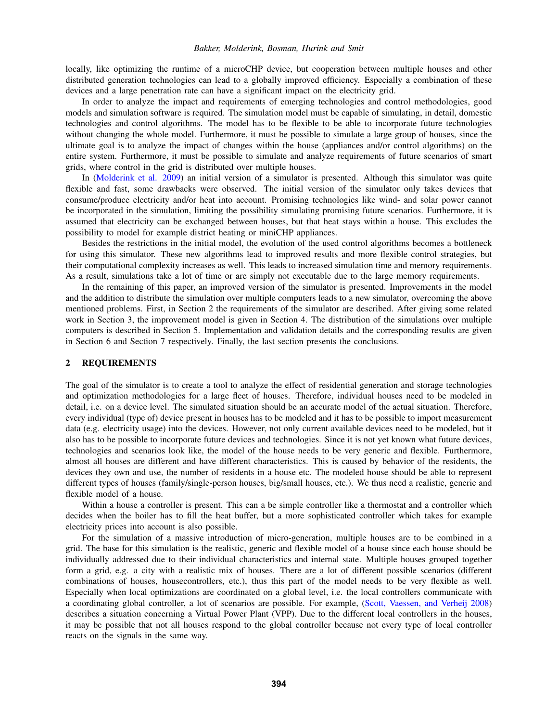#### *Bakker, Molderink, Bosman, Hurink and Smit*

locally, like optimizing the runtime of a microCHP device, but cooperation between multiple houses and other distributed generation technologies can lead to a globally improved efficiency. Especially a combination of these devices and a large penetration rate can have a significant impact on the electricity grid.

In order to analyze the impact and requirements of emerging technologies and control methodologies, good models and simulation software is required. The simulation model must be capable of simulating, in detail, domestic technologies and control algorithms. The model has to be flexible to be able to incorporate future technologies without changing the whole model. Furthermore, it must be possible to simulate a large group of houses, since the ultimate goal is to analyze the impact of changes within the house (appliances and/or control algorithms) on the entire system. Furthermore, it must be possible to simulate and analyze requirements of future scenarios of smart grids, where control in the grid is distributed over multiple houses.

In (Molderink et al. 2009) an initial version of a simulator is presented. Although this simulator was quite flexible and fast, some drawbacks were observed. The initial version of the simulator only takes devices that consume/produce electricity and/or heat into account. Promising technologies like wind- and solar power cannot be incorporated in the simulation, limiting the possibility simulating promising future scenarios. Furthermore, it is assumed that electricity can be exchanged between houses, but that heat stays within a house. This excludes the possibility to model for example district heating or miniCHP appliances.

Besides the restrictions in the initial model, the evolution of the used control algorithms becomes a bottleneck for using this simulator. These new algorithms lead to improved results and more flexible control strategies, but their computational complexity increases as well. This leads to increased simulation time and memory requirements. As a result, simulations take a lot of time or are simply not executable due to the large memory requirements.

In the remaining of this paper, an improved version of the simulator is presented. Improvements in the model and the addition to distribute the simulation over multiple computers leads to a new simulator, overcoming the above mentioned problems. First, in Section 2 the requirements of the simulator are described. After giving some related work in Section 3, the improvement model is given in Section 4. The distribution of the simulations over multiple computers is described in Section 5. Implementation and validation details and the corresponding results are given in Section 6 and Section 7 respectively. Finally, the last section presents the conclusions.

### 2 REQUIREMENTS

The goal of the simulator is to create a tool to analyze the effect of residential generation and storage technologies and optimization methodologies for a large fleet of houses. Therefore, individual houses need to be modeled in detail, i.e. on a device level. The simulated situation should be an accurate model of the actual situation. Therefore, every individual (type of) device present in houses has to be modeled and it has to be possible to import measurement data (e.g. electricity usage) into the devices. However, not only current available devices need to be modeled, but it also has to be possible to incorporate future devices and technologies. Since it is not yet known what future devices, technologies and scenarios look like, the model of the house needs to be very generic and flexible. Furthermore, almost all houses are different and have different characteristics. This is caused by behavior of the residents, the devices they own and use, the number of residents in a house etc. The modeled house should be able to represent different types of houses (family/single-person houses, big/small houses, etc.). We thus need a realistic, generic and flexible model of a house.

Within a house a controller is present. This can a be simple controller like a thermostat and a controller which decides when the boiler has to fill the heat buffer, but a more sophisticated controller which takes for example electricity prices into account is also possible.

For the simulation of a massive introduction of micro-generation, multiple houses are to be combined in a grid. The base for this simulation is the realistic, generic and flexible model of a house since each house should be individually addressed due to their individual characteristics and internal state. Multiple houses grouped together form a grid, e.g. a city with a realistic mix of houses. There are a lot of different possible scenarios (different combinations of houses, housecontrollers, etc.), thus this part of the model needs to be very flexible as well. Especially when local optimizations are coordinated on a global level, i.e. the local controllers communicate with a coordinating global controller, a lot of scenarios are possible. For example, (Scott, Vaessen, and Verheij 2008) describes a situation concerning a Virtual Power Plant (VPP). Due to the different local controllers in the houses, it may be possible that not all houses respond to the global controller because not every type of local controller reacts on the signals in the same way.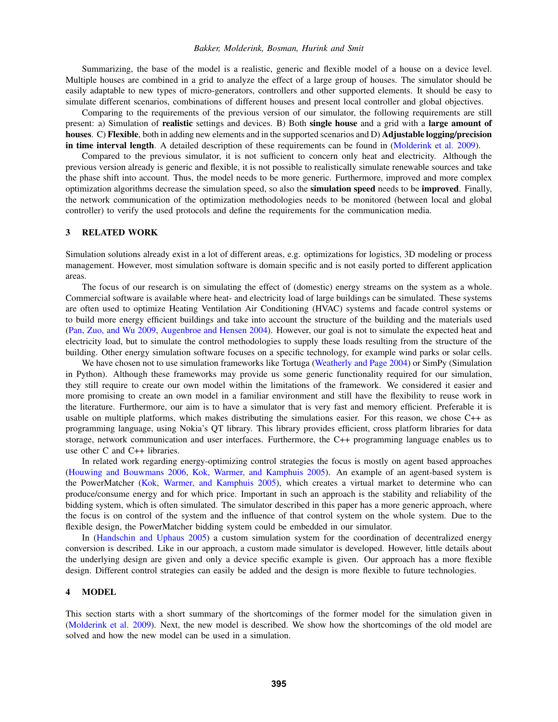#### *Bakker, Molderink, Bosman, Hurink and Smit*

Summarizing, the base of the model is a realistic, generic and flexible model of a house on a device level. Multiple houses are combined in a grid to analyze the effect of a large group of houses. The simulator should be easily adaptable to new types of micro-generators, controllers and other supported elements. It should be easy to simulate different scenarios, combinations of different houses and present local controller and global objectives.

Comparing to the requirements of the previous version of our simulator, the following requirements are still present: a) Simulation of realistic settings and devices. B) Both single house and a grid with a large amount of houses. C) Flexible, both in adding new elements and in the supported scenarios and D) Adjustable logging/precision in time interval length. A detailed description of these requirements can be found in (Molderink et al. 2009).

Compared to the previous simulator, it is not sufficient to concern only heat and electricity. Although the previous version already is generic and flexible, it is not possible to realistically simulate renewable sources and take the phase shift into account. Thus, the model needs to be more generic. Furthermore, improved and more complex optimization algorithms decrease the simulation speed, so also the simulation speed needs to be improved. Finally, the network communication of the optimization methodologies needs to be monitored (between local and global controller) to verify the used protocols and define the requirements for the communication media.

# 3 RELATED WORK

Simulation solutions already exist in a lot of different areas, e.g. optimizations for logistics, 3D modeling or process management. However, most simulation software is domain specific and is not easily ported to different application areas.

The focus of our research is on simulating the effect of (domestic) energy streams on the system as a whole. Commercial software is available where heat- and electricity load of large buildings can be simulated. These systems are often used to optimize Heating Ventilation Air Conditioning (HVAC) systems and facade control systems or to build more energy efficient buildings and take into account the structure of the building and the materials used (Pan, Zuo, and Wu 2009, Augenbroe and Hensen 2004). However, our goal is not to simulate the expected heat and electricity load, but to simulate the control methodologies to supply these loads resulting from the structure of the building. Other energy simulation software focuses on a specific technology, for example wind parks or solar cells.

We have chosen not to use simulation frameworks like Tortuga (Weatherly and Page 2004) or SimPy (Simulation in Python). Although these frameworks may provide us some generic functionality required for our simulation, they still require to create our own model within the limitations of the framework. We considered it easier and more promising to create an own model in a familiar environment and still have the flexibility to reuse work in the literature. Furthermore, our aim is to have a simulator that is very fast and memory efficient. Preferable it is usable on multiple platforms, which makes distributing the simulations easier. For this reason, we chose C++ as programming language, using Nokia's QT library. This library provides efficient, cross platform libraries for data storage, network communication and user interfaces. Furthermore, the C++ programming language enables us to use other C and C++ libraries.

In related work regarding energy-optimizing control strategies the focus is mostly on agent based approaches (Houwing and Bouwmans 2006, Kok, Warmer, and Kamphuis 2005). An example of an agent-based system is the PowerMatcher (Kok, Warmer, and Kamphuis 2005), which creates a virtual market to determine who can produce/consume energy and for which price. Important in such an approach is the stability and reliability of the bidding system, which is often simulated. The simulator described in this paper has a more generic approach, where the focus is on control of the system and the influence of that control system on the whole system. Due to the flexible design, the PowerMatcher bidding system could be embedded in our simulator.

In (Handschin and Uphaus 2005) a custom simulation system for the coordination of decentralized energy conversion is described. Like in our approach, a custom made simulator is developed. However, little details about the underlying design are given and only a device specific example is given. Our approach has a more flexible design. Different control strategies can easily be added and the design is more flexible to future technologies.

### 4 MODEL

This section starts with a short summary of the shortcomings of the former model for the simulation given in (Molderink et al. 2009). Next, the new model is described. We show how the shortcomings of the old model are solved and how the new model can be used in a simulation.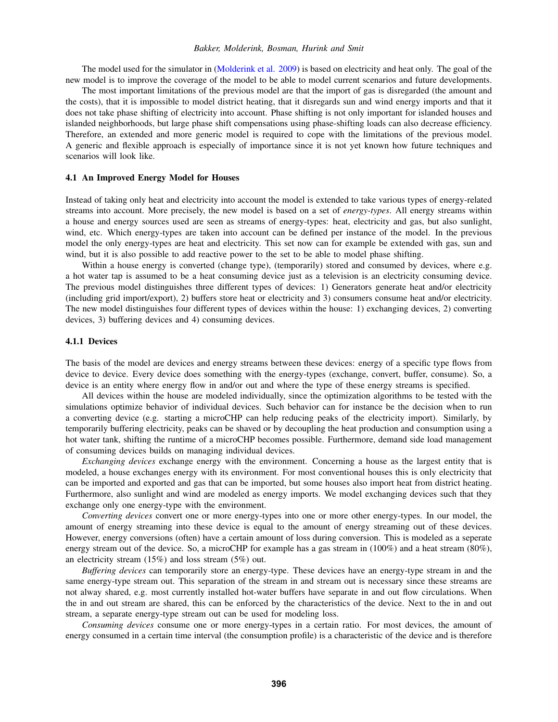The model used for the simulator in (Molderink et al. 2009) is based on electricity and heat only. The goal of the new model is to improve the coverage of the model to be able to model current scenarios and future developments.

The most important limitations of the previous model are that the import of gas is disregarded (the amount and the costs), that it is impossible to model district heating, that it disregards sun and wind energy imports and that it does not take phase shifting of electricity into account. Phase shifting is not only important for islanded houses and islanded neighborhoods, but large phase shift compensations using phase-shifting loads can also decrease efficiency. Therefore, an extended and more generic model is required to cope with the limitations of the previous model. A generic and flexible approach is especially of importance since it is not yet known how future techniques and scenarios will look like.

#### 4.1 An Improved Energy Model for Houses

Instead of taking only heat and electricity into account the model is extended to take various types of energy-related streams into account. More precisely, the new model is based on a set of *energy-types*. All energy streams within a house and energy sources used are seen as streams of energy-types: heat, electricity and gas, but also sunlight, wind, etc. Which energy-types are taken into account can be defined per instance of the model. In the previous model the only energy-types are heat and electricity. This set now can for example be extended with gas, sun and wind, but it is also possible to add reactive power to the set to be able to model phase shifting.

Within a house energy is converted (change type), (temporarily) stored and consumed by devices, where e.g. a hot water tap is assumed to be a heat consuming device just as a television is an electricity consuming device. The previous model distinguishes three different types of devices: 1) Generators generate heat and/or electricity (including grid import/export), 2) buffers store heat or electricity and 3) consumers consume heat and/or electricity. The new model distinguishes four different types of devices within the house: 1) exchanging devices, 2) converting devices, 3) buffering devices and 4) consuming devices.

#### 4.1.1 Devices

The basis of the model are devices and energy streams between these devices: energy of a specific type flows from device to device. Every device does something with the energy-types (exchange, convert, buffer, consume). So, a device is an entity where energy flow in and/or out and where the type of these energy streams is specified.

All devices within the house are modeled individually, since the optimization algorithms to be tested with the simulations optimize behavior of individual devices. Such behavior can for instance be the decision when to run a converting device (e.g. starting a microCHP can help reducing peaks of the electricity import). Similarly, by temporarily buffering electricity, peaks can be shaved or by decoupling the heat production and consumption using a hot water tank, shifting the runtime of a microCHP becomes possible. Furthermore, demand side load management of consuming devices builds on managing individual devices.

*Exchanging devices* exchange energy with the environment. Concerning a house as the largest entity that is modeled, a house exchanges energy with its environment. For most conventional houses this is only electricity that can be imported and exported and gas that can be imported, but some houses also import heat from district heating. Furthermore, also sunlight and wind are modeled as energy imports. We model exchanging devices such that they exchange only one energy-type with the environment.

*Converting devices* convert one or more energy-types into one or more other energy-types. In our model, the amount of energy streaming into these device is equal to the amount of energy streaming out of these devices. However, energy conversions (often) have a certain amount of loss during conversion. This is modeled as a seperate energy stream out of the device. So, a microCHP for example has a gas stream in (100%) and a heat stream (80%), an electricity stream (15%) and loss stream (5%) out.

*Buffering devices* can temporarily store an energy-type. These devices have an energy-type stream in and the same energy-type stream out. This separation of the stream in and stream out is necessary since these streams are not alway shared, e.g. most currently installed hot-water buffers have separate in and out flow circulations. When the in and out stream are shared, this can be enforced by the characteristics of the device. Next to the in and out stream, a separate energy-type stream out can be used for modeling loss.

*Consuming devices* consume one or more energy-types in a certain ratio. For most devices, the amount of energy consumed in a certain time interval (the consumption profile) is a characteristic of the device and is therefore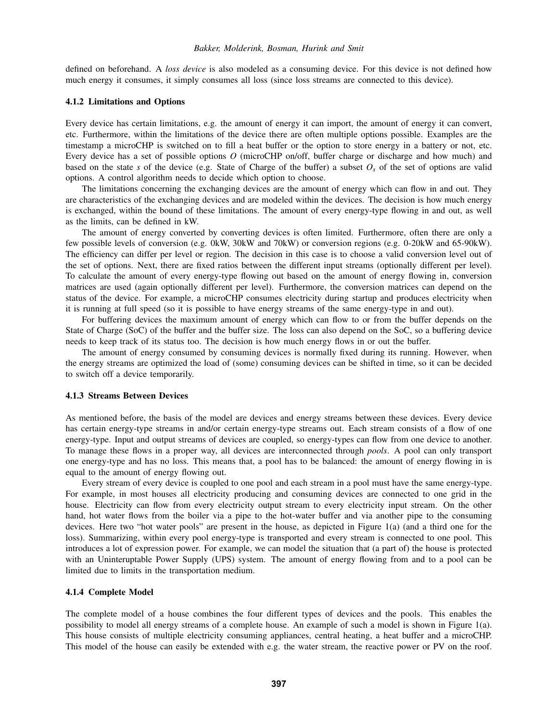defined on beforehand. A *loss device* is also modeled as a consuming device. For this device is not defined how much energy it consumes, it simply consumes all loss (since loss streams are connected to this device).

#### 4.1.2 Limitations and Options

Every device has certain limitations, e.g. the amount of energy it can import, the amount of energy it can convert, etc. Furthermore, within the limitations of the device there are often multiple options possible. Examples are the timestamp a microCHP is switched on to fill a heat buffer or the option to store energy in a battery or not, etc. Every device has a set of possible options *O* (microCHP on/off, buffer charge or discharge and how much) and based on the state *s* of the device (e.g. State of Charge of the buffer) a subset  $O_s$  of the set of options are valid options. A control algorithm needs to decide which option to choose.

The limitations concerning the exchanging devices are the amount of energy which can flow in and out. They are characteristics of the exchanging devices and are modeled within the devices. The decision is how much energy is exchanged, within the bound of these limitations. The amount of every energy-type flowing in and out, as well as the limits, can be defined in kW.

The amount of energy converted by converting devices is often limited. Furthermore, often there are only a few possible levels of conversion (e.g. 0kW, 30kW and 70kW) or conversion regions (e.g. 0-20kW and 65-90kW). The efficiency can differ per level or region. The decision in this case is to choose a valid conversion level out of the set of options. Next, there are fixed ratios between the different input streams (optionally different per level). To calculate the amount of every energy-type flowing out based on the amount of energy flowing in, conversion matrices are used (again optionally different per level). Furthermore, the conversion matrices can depend on the status of the device. For example, a microCHP consumes electricity during startup and produces electricity when it is running at full speed (so it is possible to have energy streams of the same energy-type in and out).

For buffering devices the maximum amount of energy which can flow to or from the buffer depends on the State of Charge (SoC) of the buffer and the buffer size. The loss can also depend on the SoC, so a buffering device needs to keep track of its status too. The decision is how much energy flows in or out the buffer.

The amount of energy consumed by consuming devices is normally fixed during its running. However, when the energy streams are optimized the load of (some) consuming devices can be shifted in time, so it can be decided to switch off a device temporarily.

### 4.1.3 Streams Between Devices

As mentioned before, the basis of the model are devices and energy streams between these devices. Every device has certain energy-type streams in and/or certain energy-type streams out. Each stream consists of a flow of one energy-type. Input and output streams of devices are coupled, so energy-types can flow from one device to another. To manage these flows in a proper way, all devices are interconnected through *pools*. A pool can only transport one energy-type and has no loss. This means that, a pool has to be balanced: the amount of energy flowing in is equal to the amount of energy flowing out.

Every stream of every device is coupled to one pool and each stream in a pool must have the same energy-type. For example, in most houses all electricity producing and consuming devices are connected to one grid in the house. Electricity can flow from every electricity output stream to every electricity input stream. On the other hand, hot water flows from the boiler via a pipe to the hot-water buffer and via another pipe to the consuming devices. Here two "hot water pools" are present in the house, as depicted in Figure 1(a) (and a third one for the loss). Summarizing, within every pool energy-type is transported and every stream is connected to one pool. This introduces a lot of expression power. For example, we can model the situation that (a part of) the house is protected with an Uninteruptable Power Supply (UPS) system. The amount of energy flowing from and to a pool can be limited due to limits in the transportation medium.

### 4.1.4 Complete Model

The complete model of a house combines the four different types of devices and the pools. This enables the possibility to model all energy streams of a complete house. An example of such a model is shown in Figure 1(a). This house consists of multiple electricity consuming appliances, central heating, a heat buffer and a microCHP. This model of the house can easily be extended with e.g. the water stream, the reactive power or PV on the roof.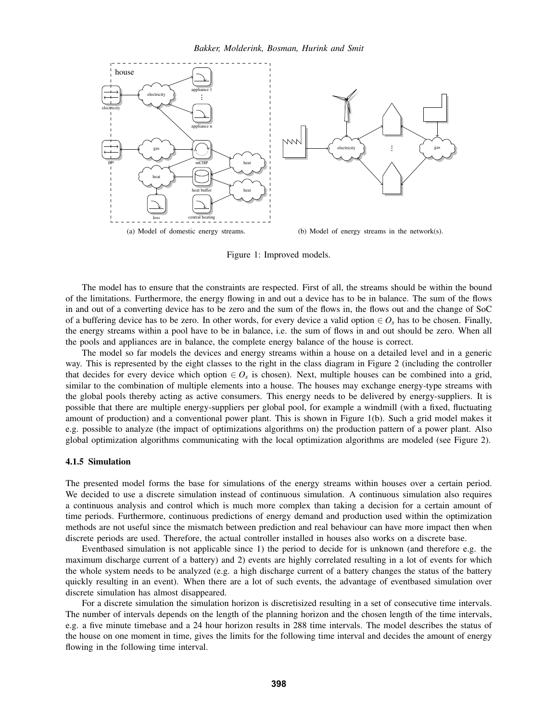

Figure 1: Improved models.

The model has to ensure that the constraints are respected. First of all, the streams should be within the bound of the limitations. Furthermore, the energy flowing in and out a device has to be in balance. The sum of the flows in and out of a converting device has to be zero and the sum of the flows in, the flows out and the change of SoC of a buffering device has to be zero. In other words, for every device a valid option  $\in O_s$  has to be chosen. Finally, the energy streams within a pool have to be in balance, i.e. the sum of flows in and out should be zero. When all the pools and appliances are in balance, the complete energy balance of the house is correct.

The model so far models the devices and energy streams within a house on a detailed level and in a generic way. This is represented by the eight classes to the right in the class diagram in Figure 2 (including the controller that decides for every device which option  $\in O_s$  is chosen). Next, multiple houses can be combined into a grid, similar to the combination of multiple elements into a house. The houses may exchange energy-type streams with the global pools thereby acting as active consumers. This energy needs to be delivered by energy-suppliers. It is possible that there are multiple energy-suppliers per global pool, for example a windmill (with a fixed, fluctuating amount of production) and a conventional power plant. This is shown in Figure 1(b). Such a grid model makes it e.g. possible to analyze (the impact of optimizations algorithms on) the production pattern of a power plant. Also global optimization algorithms communicating with the local optimization algorithms are modeled (see Figure 2).

### 4.1.5 Simulation

The presented model forms the base for simulations of the energy streams within houses over a certain period. We decided to use a discrete simulation instead of continuous simulation. A continuous simulation also requires a continuous analysis and control which is much more complex than taking a decision for a certain amount of time periods. Furthermore, continuous predictions of energy demand and production used within the optimization methods are not useful since the mismatch between prediction and real behaviour can have more impact then when discrete periods are used. Therefore, the actual controller installed in houses also works on a discrete base.

Eventbased simulation is not applicable since 1) the period to decide for is unknown (and therefore e.g. the maximum discharge current of a battery) and 2) events are highly correlated resulting in a lot of events for which the whole system needs to be analyzed (e.g. a high discharge current of a battery changes the status of the battery quickly resulting in an event). When there are a lot of such events, the advantage of eventbased simulation over discrete simulation has almost disappeared.

For a discrete simulation the simulation horizon is discretisized resulting in a set of consecutive time intervals. The number of intervals depends on the length of the planning horizon and the chosen length of the time intervals, e.g. a five minute timebase and a 24 hour horizon results in 288 time intervals. The model describes the status of the house on one moment in time, gives the limits for the following time interval and decides the amount of energy flowing in the following time interval.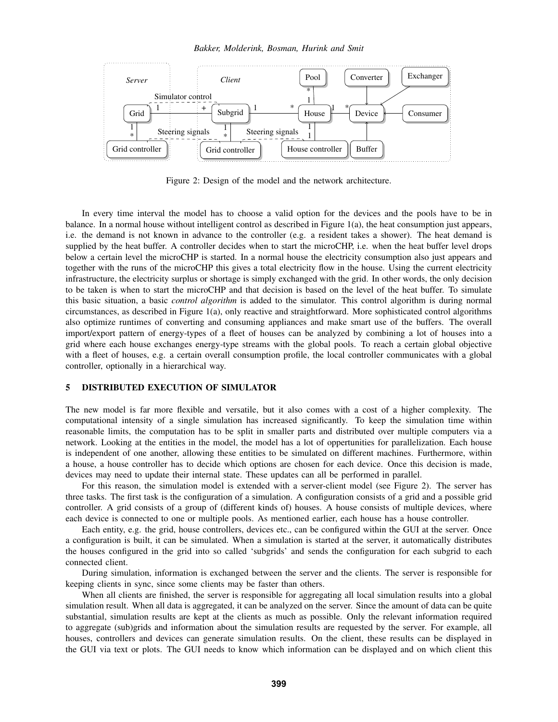*Bakker, Molderink, Bosman, Hurink and Smit*



Figure 2: Design of the model and the network architecture.

In every time interval the model has to choose a valid option for the devices and the pools have to be in balance. In a normal house without intelligent control as described in Figure 1(a), the heat consumption just appears, i.e. the demand is not known in advance to the controller (e.g. a resident takes a shower). The heat demand is supplied by the heat buffer. A controller decides when to start the microCHP, i.e. when the heat buffer level drops below a certain level the microCHP is started. In a normal house the electricity consumption also just appears and together with the runs of the microCHP this gives a total electricity flow in the house. Using the current electricity infrastructure, the electricity surplus or shortage is simply exchanged with the grid. In other words, the only decision to be taken is when to start the microCHP and that decision is based on the level of the heat buffer. To simulate this basic situation, a basic *control algorithm* is added to the simulator. This control algorithm is during normal circumstances, as described in Figure 1(a), only reactive and straightforward. More sophisticated control algorithms also optimize runtimes of converting and consuming appliances and make smart use of the buffers. The overall import/export pattern of energy-types of a fleet of houses can be analyzed by combining a lot of houses into a grid where each house exchanges energy-type streams with the global pools. To reach a certain global objective with a fleet of houses, e.g. a certain overall consumption profile, the local controller communicates with a global controller, optionally in a hierarchical way.

#### 5 DISTRIBUTED EXECUTION OF SIMULATOR

The new model is far more flexible and versatile, but it also comes with a cost of a higher complexity. The computational intensity of a single simulation has increased significantly. To keep the simulation time within reasonable limits, the computation has to be split in smaller parts and distributed over multiple computers via a network. Looking at the entities in the model, the model has a lot of oppertunities for parallelization. Each house is independent of one another, allowing these entities to be simulated on different machines. Furthermore, within a house, a house controller has to decide which options are chosen for each device. Once this decision is made, devices may need to update their internal state. These updates can all be performed in parallel.

For this reason, the simulation model is extended with a server-client model (see Figure 2). The server has three tasks. The first task is the configuration of a simulation. A configuration consists of a grid and a possible grid controller. A grid consists of a group of (different kinds of) houses. A house consists of multiple devices, where each device is connected to one or multiple pools. As mentioned earlier, each house has a house controller.

Each entity, e.g. the grid, house controllers, devices etc., can be configured within the GUI at the server. Once a configuration is built, it can be simulated. When a simulation is started at the server, it automatically distributes the houses configured in the grid into so called 'subgrids' and sends the configuration for each subgrid to each connected client.

During simulation, information is exchanged between the server and the clients. The server is responsible for keeping clients in sync, since some clients may be faster than others.

When all clients are finished, the server is responsible for aggregating all local simulation results into a global simulation result. When all data is aggregated, it can be analyzed on the server. Since the amount of data can be quite substantial, simulation results are kept at the clients as much as possible. Only the relevant information required to aggregate (sub)grids and information about the simulation results are requested by the server. For example, all houses, controllers and devices can generate simulation results. On the client, these results can be displayed in the GUI via text or plots. The GUI needs to know which information can be displayed and on which client this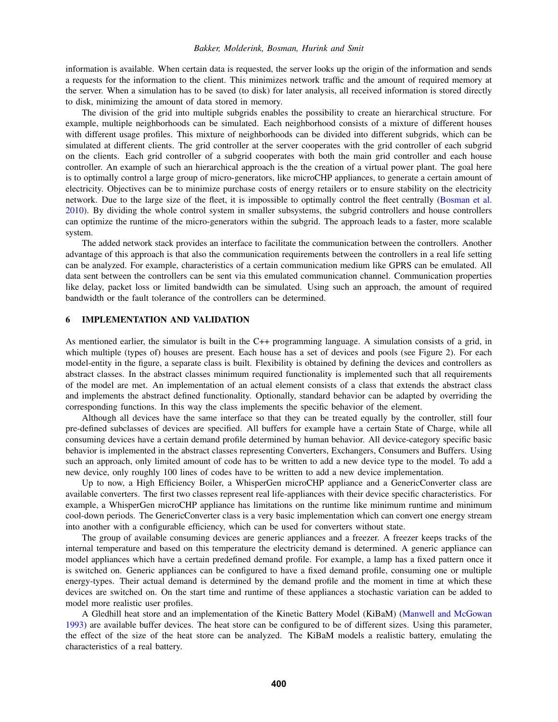information is available. When certain data is requested, the server looks up the origin of the information and sends a requests for the information to the client. This minimizes network traffic and the amount of required memory at the server. When a simulation has to be saved (to disk) for later analysis, all received information is stored directly to disk, minimizing the amount of data stored in memory.

The division of the grid into multiple subgrids enables the possibility to create an hierarchical structure. For example, multiple neighborhoods can be simulated. Each neighborhood consists of a mixture of different houses with different usage profiles. This mixture of neighborhoods can be divided into different subgrids, which can be simulated at different clients. The grid controller at the server cooperates with the grid controller of each subgrid on the clients. Each grid controller of a subgrid cooperates with both the main grid controller and each house controller. An example of such an hierarchical approach is the the creation of a virtual power plant. The goal here is to optimally control a large group of micro-generators, like microCHP appliances, to generate a certain amount of electricity. Objectives can be to minimize purchase costs of energy retailers or to ensure stability on the electricity network. Due to the large size of the fleet, it is impossible to optimally control the fleet centrally (Bosman et al. 2010). By dividing the whole control system in smaller subsystems, the subgrid controllers and house controllers can optimize the runtime of the micro-generators within the subgrid. The approach leads to a faster, more scalable system.

The added network stack provides an interface to facilitate the communication between the controllers. Another advantage of this approach is that also the communication requirements between the controllers in a real life setting can be analyzed. For example, characteristics of a certain communication medium like GPRS can be emulated. All data sent between the controllers can be sent via this emulated communication channel. Communication properties like delay, packet loss or limited bandwidth can be simulated. Using such an approach, the amount of required bandwidth or the fault tolerance of the controllers can be determined.

## 6 IMPLEMENTATION AND VALIDATION

As mentioned earlier, the simulator is built in the C++ programming language. A simulation consists of a grid, in which multiple (types of) houses are present. Each house has a set of devices and pools (see Figure 2). For each model-entity in the figure, a separate class is built. Flexibility is obtained by defining the devices and controllers as abstract classes. In the abstract classes minimum required functionality is implemented such that all requirements of the model are met. An implementation of an actual element consists of a class that extends the abstract class and implements the abstract defined functionality. Optionally, standard behavior can be adapted by overriding the corresponding functions. In this way the class implements the specific behavior of the element.

Although all devices have the same interface so that they can be treated equally by the controller, still four pre-defined subclasses of devices are specified. All buffers for example have a certain State of Charge, while all consuming devices have a certain demand profile determined by human behavior. All device-category specific basic behavior is implemented in the abstract classes representing Converters, Exchangers, Consumers and Buffers. Using such an approach, only limited amount of code has to be written to add a new device type to the model. To add a new device, only roughly 100 lines of codes have to be written to add a new device implementation.

Up to now, a High Efficiency Boiler, a WhisperGen microCHP appliance and a GenericConverter class are available converters. The first two classes represent real life-appliances with their device specific characteristics. For example, a WhisperGen microCHP appliance has limitations on the runtime like minimum runtime and minimum cool-down periods. The GenericConverter class is a very basic implementation which can convert one energy stream into another with a configurable efficiency, which can be used for converters without state.

The group of available consuming devices are generic appliances and a freezer. A freezer keeps tracks of the internal temperature and based on this temperature the electricity demand is determined. A generic appliance can model appliances which have a certain predefined demand profile. For example, a lamp has a fixed pattern once it is switched on. Generic appliances can be configured to have a fixed demand profile, consuming one or multiple energy-types. Their actual demand is determined by the demand profile and the moment in time at which these devices are switched on. On the start time and runtime of these appliances a stochastic variation can be added to model more realistic user profiles.

A Gledhill heat store and an implementation of the Kinetic Battery Model (KiBaM) (Manwell and McGowan 1993) are available buffer devices. The heat store can be configured to be of different sizes. Using this parameter, the effect of the size of the heat store can be analyzed. The KiBaM models a realistic battery, emulating the characteristics of a real battery.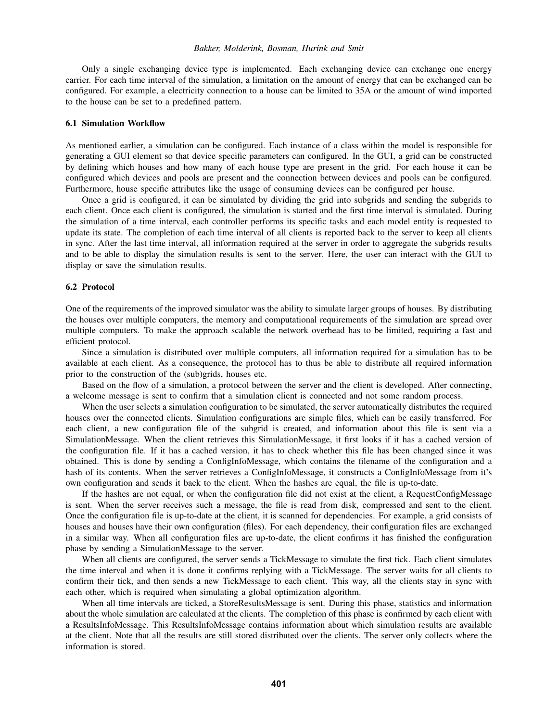Only a single exchanging device type is implemented. Each exchanging device can exchange one energy carrier. For each time interval of the simulation, a limitation on the amount of energy that can be exchanged can be configured. For example, a electricity connection to a house can be limited to 35A or the amount of wind imported to the house can be set to a predefined pattern.

#### 6.1 Simulation Workflow

As mentioned earlier, a simulation can be configured. Each instance of a class within the model is responsible for generating a GUI element so that device specific parameters can configured. In the GUI, a grid can be constructed by defining which houses and how many of each house type are present in the grid. For each house it can be configured which devices and pools are present and the connection between devices and pools can be configured. Furthermore, house specific attributes like the usage of consuming devices can be configured per house.

Once a grid is configured, it can be simulated by dividing the grid into subgrids and sending the subgrids to each client. Once each client is configured, the simulation is started and the first time interval is simulated. During the simulation of a time interval, each controller performs its specific tasks and each model entity is requested to update its state. The completion of each time interval of all clients is reported back to the server to keep all clients in sync. After the last time interval, all information required at the server in order to aggregate the subgrids results and to be able to display the simulation results is sent to the server. Here, the user can interact with the GUI to display or save the simulation results.

#### 6.2 Protocol

One of the requirements of the improved simulator was the ability to simulate larger groups of houses. By distributing the houses over multiple computers, the memory and computational requirements of the simulation are spread over multiple computers. To make the approach scalable the network overhead has to be limited, requiring a fast and efficient protocol.

Since a simulation is distributed over multiple computers, all information required for a simulation has to be available at each client. As a consequence, the protocol has to thus be able to distribute all required information prior to the construction of the (sub)grids, houses etc.

Based on the flow of a simulation, a protocol between the server and the client is developed. After connecting, a welcome message is sent to confirm that a simulation client is connected and not some random process.

When the user selects a simulation configuration to be simulated, the server automatically distributes the required houses over the connected clients. Simulation configurations are simple files, which can be easily transferred. For each client, a new configuration file of the subgrid is created, and information about this file is sent via a SimulationMessage. When the client retrieves this SimulationMessage, it first looks if it has a cached version of the configuration file. If it has a cached version, it has to check whether this file has been changed since it was obtained. This is done by sending a ConfigInfoMessage, which contains the filename of the configuration and a hash of its contents. When the server retrieves a ConfigInfoMessage, it constructs a ConfigInfoMessage from it's own configuration and sends it back to the client. When the hashes are equal, the file is up-to-date.

If the hashes are not equal, or when the configuration file did not exist at the client, a RequestConfigMessage is sent. When the server receives such a message, the file is read from disk, compressed and sent to the client. Once the configuration file is up-to-date at the client, it is scanned for dependencies. For example, a grid consists of houses and houses have their own configuration (files). For each dependency, their configuration files are exchanged in a similar way. When all configuration files are up-to-date, the client confirms it has finished the configuration phase by sending a SimulationMessage to the server.

When all clients are configured, the server sends a TickMessage to simulate the first tick. Each client simulates the time interval and when it is done it confirms replying with a TickMessage. The server waits for all clients to confirm their tick, and then sends a new TickMessage to each client. This way, all the clients stay in sync with each other, which is required when simulating a global optimization algorithm.

When all time intervals are ticked, a StoreResultsMessage is sent. During this phase, statistics and information about the whole simulation are calculated at the clients. The completion of this phase is confirmed by each client with a ResultsInfoMessage. This ResultsInfoMessage contains information about which simulation results are available at the client. Note that all the results are still stored distributed over the clients. The server only collects where the information is stored.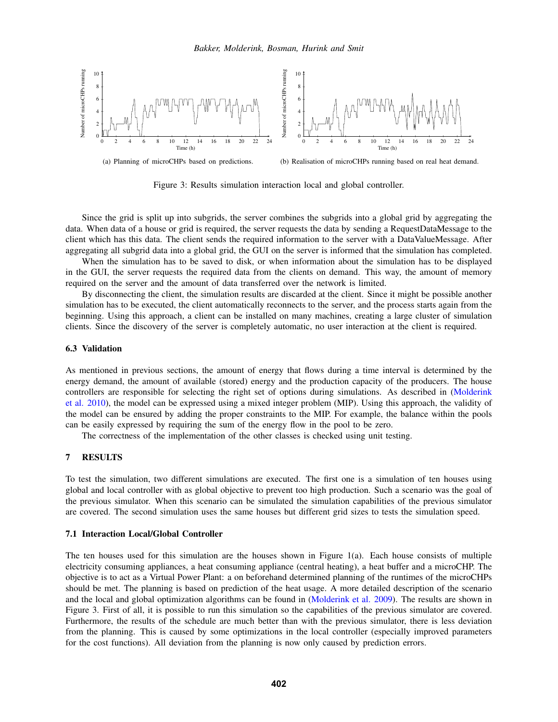

(a) Planning of microCHPs based on predictions. (b) Realisation of microCHPs running based on real heat demand.

Figure 3: Results simulation interaction local and global controller.

Since the grid is split up into subgrids, the server combines the subgrids into a global grid by aggregating the data. When data of a house or grid is required, the server requests the data by sending a RequestDataMessage to the client which has this data. The client sends the required information to the server with a DataValueMessage. After aggregating all subgrid data into a global grid, the GUI on the server is informed that the simulation has completed.

When the simulation has to be saved to disk, or when information about the simulation has to be displayed in the GUI, the server requests the required data from the clients on demand. This way, the amount of memory required on the server and the amount of data transferred over the network is limited.

By disconnecting the client, the simulation results are discarded at the client. Since it might be possible another simulation has to be executed, the client automatically reconnects to the server, and the process starts again from the beginning. Using this approach, a client can be installed on many machines, creating a large cluster of simulation clients. Since the discovery of the server is completely automatic, no user interaction at the client is required.

#### 6.3 Validation

As mentioned in previous sections, the amount of energy that flows during a time interval is determined by the energy demand, the amount of available (stored) energy and the production capacity of the producers. The house controllers are responsible for selecting the right set of options during simulations. As described in (Molderink et al. 2010), the model can be expressed using a mixed integer problem (MIP). Using this approach, the validity of the model can be ensured by adding the proper constraints to the MIP. For example, the balance within the pools can be easily expressed by requiring the sum of the energy flow in the pool to be zero.

The correctness of the implementation of the other classes is checked using unit testing.

# 7 RESULTS

To test the simulation, two different simulations are executed. The first one is a simulation of ten houses using global and local controller with as global objective to prevent too high production. Such a scenario was the goal of the previous simulator. When this scenario can be simulated the simulation capabilities of the previous simulator are covered. The second simulation uses the same houses but different grid sizes to tests the simulation speed.

#### 7.1 Interaction Local/Global Controller

The ten houses used for this simulation are the houses shown in Figure 1(a). Each house consists of multiple electricity consuming appliances, a heat consuming appliance (central heating), a heat buffer and a microCHP. The objective is to act as a Virtual Power Plant: a on beforehand determined planning of the runtimes of the microCHPs should be met. The planning is based on prediction of the heat usage. A more detailed description of the scenario and the local and global optimization algorithms can be found in (Molderink et al. 2009). The results are shown in Figure 3. First of all, it is possible to run this simulation so the capabilities of the previous simulator are covered. Furthermore, the results of the schedule are much better than with the previous simulator, there is less deviation from the planning. This is caused by some optimizations in the local controller (especially improved parameters for the cost functions). All deviation from the planning is now only caused by prediction errors.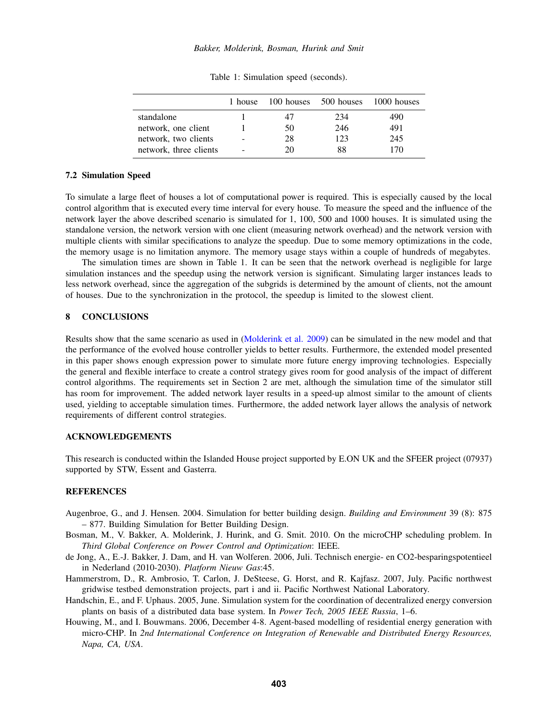|                        | 1 house | 100 houses | 500 houses | 1000 houses |
|------------------------|---------|------------|------------|-------------|
| standalone             |         | 47         | 234        | 490         |
| network, one client    |         | 50         | 246        | 491         |
| network, two clients   |         | 28         | 123        | 245         |
| network, three clients |         | 20         | 88         | 170         |

Table 1: Simulation speed (seconds).

## 7.2 Simulation Speed

To simulate a large fleet of houses a lot of computational power is required. This is especially caused by the local control algorithm that is executed every time interval for every house. To measure the speed and the influence of the network layer the above described scenario is simulated for 1, 100, 500 and 1000 houses. It is simulated using the standalone version, the network version with one client (measuring network overhead) and the network version with multiple clients with similar specifications to analyze the speedup. Due to some memory optimizations in the code, the memory usage is no limitation anymore. The memory usage stays within a couple of hundreds of megabytes.

The simulation times are shown in Table 1. It can be seen that the network overhead is negligible for large simulation instances and the speedup using the network version is significant. Simulating larger instances leads to less network overhead, since the aggregation of the subgrids is determined by the amount of clients, not the amount of houses. Due to the synchronization in the protocol, the speedup is limited to the slowest client.

### 8 CONCLUSIONS

Results show that the same scenario as used in (Molderink et al. 2009) can be simulated in the new model and that the performance of the evolved house controller yields to better results. Furthermore, the extended model presented in this paper shows enough expression power to simulate more future energy improving technologies. Especially the general and flexible interface to create a control strategy gives room for good analysis of the impact of different control algorithms. The requirements set in Section 2 are met, although the simulation time of the simulator still has room for improvement. The added network layer results in a speed-up almost similar to the amount of clients used, yielding to acceptable simulation times. Furthermore, the added network layer allows the analysis of network requirements of different control strategies.

## ACKNOWLEDGEMENTS

This research is conducted within the Islanded House project supported by E.ON UK and the SFEER project (07937) supported by STW, Essent and Gasterra.

#### **REFERENCES**

- Augenbroe, G., and J. Hensen. 2004. Simulation for better building design. *Building and Environment* 39 (8): 875 – 877. Building Simulation for Better Building Design.
- Bosman, M., V. Bakker, A. Molderink, J. Hurink, and G. Smit. 2010. On the microCHP scheduling problem. In *Third Global Conference on Power Control and Optimization*: IEEE.
- de Jong, A., E.-J. Bakker, J. Dam, and H. van Wolferen. 2006, Juli. Technisch energie- en CO2-besparingspotentieel in Nederland (2010-2030). *Platform Nieuw Gas*:45.
- Hammerstrom, D., R. Ambrosio, T. Carlon, J. DeSteese, G. Horst, and R. Kajfasz. 2007, July. Pacific northwest gridwise testbed demonstration projects, part i and ii. Pacific Northwest National Laboratory.
- Handschin, E., and F. Uphaus. 2005, June. Simulation system for the coordination of decentralized energy conversion plants on basis of a distributed data base system. In *Power Tech, 2005 IEEE Russia*, 1–6.
- Houwing, M., and I. Bouwmans. 2006, December 4-8. Agent-based modelling of residential energy generation with micro-CHP. In *2nd International Conference on Integration of Renewable and Distributed Energy Resources, Napa, CA, USA*.